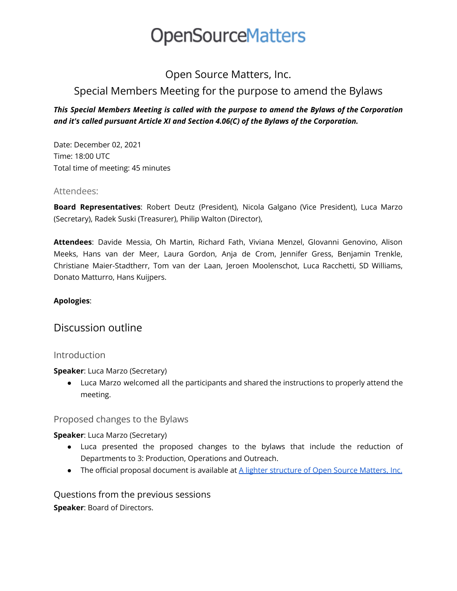## **OpenSourceMatters**

### Open Source Matters, Inc.

## Special Members Meeting for the purpose to amend the Bylaws

#### *This Special Members Meeting is called with the purpose to amend the Bylaws of the Corporation and it's called pursuant Article XI and Section 4.06(C) of the Bylaws of the Corporation.*

Date: December 02, 2021 Time: 18:00 UTC Total time of meeting: 45 minutes

#### Attendees:

**Board Representatives**: Robert Deutz (President), Nicola Galgano (Vice President), Luca Marzo (Secretary), Radek Suski (Treasurer), Philip Walton (Director),

**Attendees**: Davide Messia, Oh Martin, Richard Fath, Viviana Menzel, GIovanni Genovino, Alison Meeks, Hans van der Meer, Laura Gordon, Anja de Crom, Jennifer Gress, Benjamin Trenkle, Christiane Maier-Stadtherr, Tom van der Laan, Jeroen Moolenschot, Luca Racchetti, SD Williams, Donato Matturro, Hans Kuijpers.

#### **Apologies**:

### Discussion outline

#### **Introduction**

**Speaker**: Luca Marzo (Secretary)

● Luca Marzo welcomed all the participants and shared the instructions to properly attend the meeting.

#### Proposed changes to the Bylaws

**Speaker**: Luca Marzo (Secretary)

- Luca presented the proposed changes to the bylaws that include the reduction of Departments to 3: Production, Operations and Outreach.
- The official proposal document is available at A lighter [structure](https://docs.google.com/document/d/1TWpUxdDO0-MU7Tk76i5MrORSh_qy2ZYs7qLYfRIh6s8/edit) of Open Source Matters, Inc.

Questions from the previous sessions **Speaker**: Board of Directors.